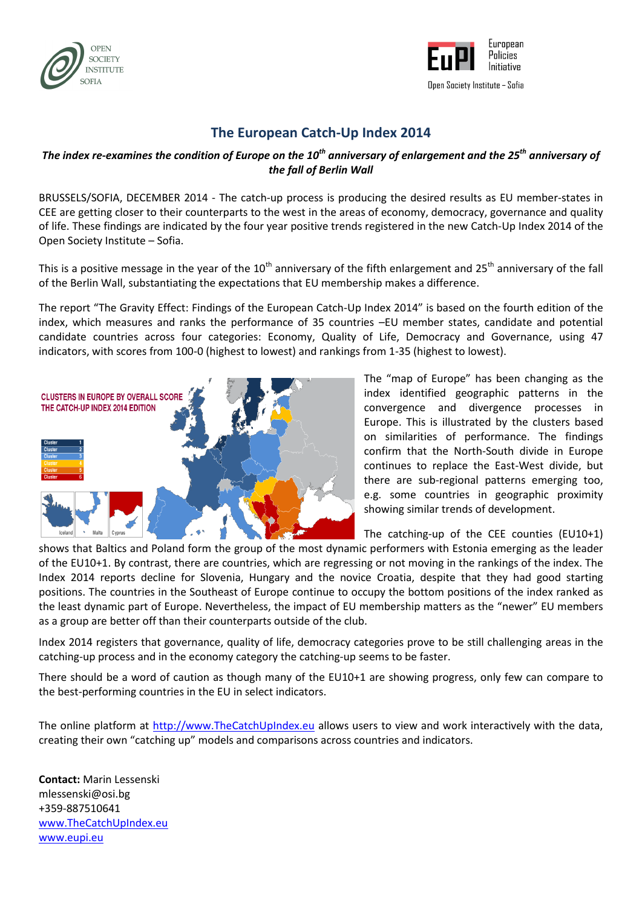



## **The European Catch-Up Index 2014**

## *The index re-examines the condition of Europe on the 10th anniversary of enlargement and the 25th anniversary of the fall of Berlin Wall*

BRUSSELS/SOFIA, DECEMBER 2014 - The catch-up process is producing the desired results as EU member-states in CEE are getting closer to their counterparts to the west in the areas of economy, democracy, governance and quality of life. These findings are indicated by the four year positive trends registered in the new Catch-Up Index 2014 of the Open Society Institute – Sofia.

This is a positive message in the year of the 10<sup>th</sup> anniversary of the fifth enlargement and 25<sup>th</sup> anniversary of the fall of the Berlin Wall, substantiating the expectations that EU membership makes a difference.

The report "The Gravity Effect: Findings of the European Catch-Up Index 2014" is based on the fourth edition of the index, which measures and ranks the performance of 35 countries –EU member states, candidate and potential candidate countries across four categories: Economy, Quality of Life, Democracy and Governance, using 47 indicators, with scores from 100-0 (highest to lowest) and rankings from 1-35 (highest to lowest).



The "map of Europe" has been changing as the index identified geographic patterns in the convergence and divergence processes in Europe. This is illustrated by the clusters based on similarities of performance. The findings confirm that the North-South divide in Europe continues to replace the East-West divide, but there are sub-regional patterns emerging too, e.g. some countries in geographic proximity showing similar trends of development.

The catching-up of the CEE counties (EU10+1)

shows that Baltics and Poland form the group of the most dynamic performers with Estonia emerging as the leader of the EU10+1. By contrast, there are countries, which are regressing or not moving in the rankings of the index. The Index 2014 reports decline for Slovenia, Hungary and the novice Croatia, despite that they had good starting positions. The countries in the Southeast of Europe continue to occupy the bottom positions of the index ranked as the least dynamic part of Europe. Nevertheless, the impact of EU membership matters as the "newer" EU members as a group are better off than their counterparts outside of the club.

Index 2014 registers that governance, quality of life, democracy categories prove to be still challenging areas in the catching-up process and in the economy category the catching-up seems to be faster.

There should be a word of caution as though many of the EU10+1 are showing progress, only few can compare to the best-performing countries in the EU in select indicators.

The online platform at [http://www.TheCatchUpIndex.eu](http://www.thecatchupindex.eu/) allows users to view and work interactively with the data, creating their own "catching up" models and comparisons across countries and indicators.

**Contact:** Marin Lessenski mlessenski@osi.bg +359-887510641 [www.TheCatchUpIndex.eu](http://www.thecatchupindex.eu/) [www.eupi.eu](http://www.eupi.eu/)